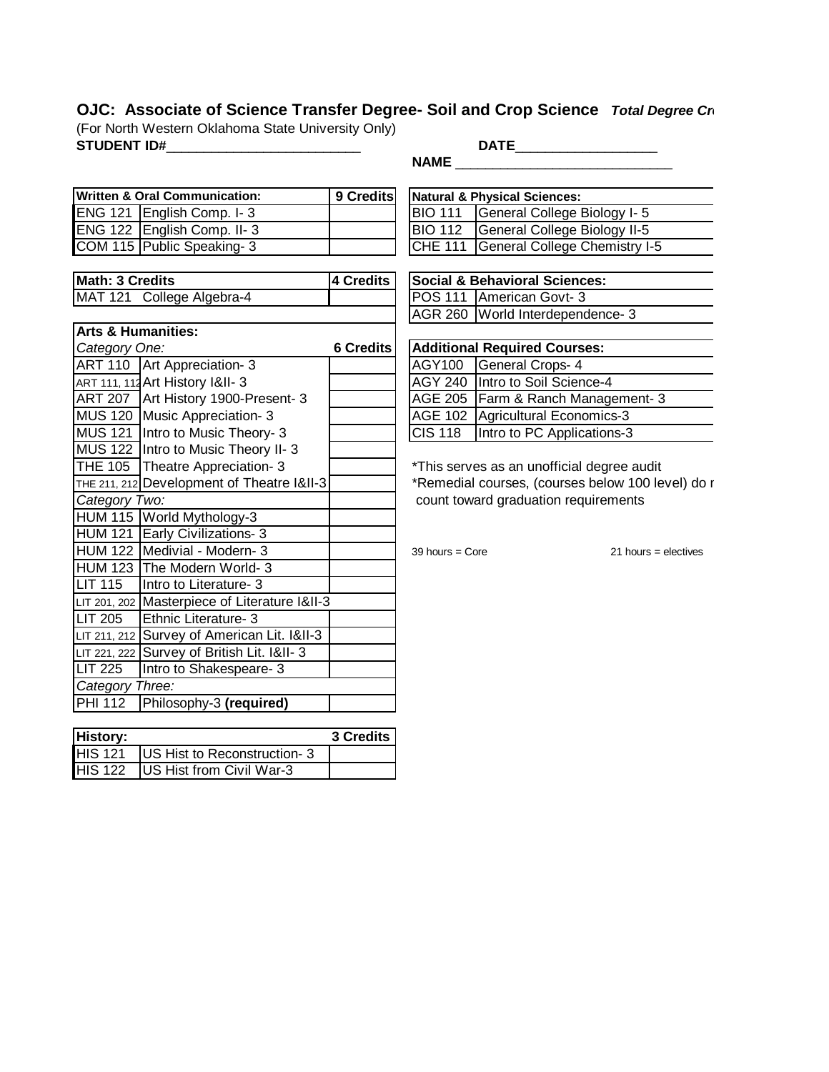## **OJC: Associate of Science Transfer Degree- Soil and Crop Science** *Total Degree Cr* (For North Western Oklahoma State University Only)

**STUDENT ID#**\_\_\_\_\_\_\_\_\_\_\_\_\_\_\_\_\_\_\_\_\_\_\_\_\_\_ **DATE**\_\_\_\_\_\_\_\_\_\_\_\_\_\_\_\_\_\_\_

**NAME \_\_\_\_\_\_\_\_\_\_\_\_\_\_\_\_\_\_\_\_\_\_\_\_\_\_\_\_\_\_\_\_\_\_\_** 

| Written & Oral Communication: |                            | 9 Credits | Natural & Physical Sciences: |                                       |  |
|-------------------------------|----------------------------|-----------|------------------------------|---------------------------------------|--|
|                               | ENG 121 English Comp. I-3  |           |                              | BIO 111 General College Biology I-5   |  |
|                               | ENG 122 English Comp. II-3 |           |                              | BIO 112 General College Biology II-5  |  |
|                               | COM 115 Public Speaking-3  |           |                              | CHE 111 General College Chemistry I-5 |  |

| <b>Math: 3 Credits</b>    |  | 4 Credits   Social & Behavioral Sciences: |
|---------------------------|--|-------------------------------------------|
| MAT 121 College Algebra-4 |  | POS 111 American Govt-3                   |

| <b>Arts &amp; Humanities:</b>                 |           |                                     |                                            |  |
|-----------------------------------------------|-----------|-------------------------------------|--------------------------------------------|--|
| Category One:                                 | 6 Credits | <b>Additional Required Courses:</b> |                                            |  |
| ART 110 Art Appreciation- 3                   |           | <b>AGY100</b>                       | <b>General Crops-4</b>                     |  |
| <b>ART 111, 112 Art History 1&amp;II-3</b>    |           |                                     | AGY 240 Intro to Soil Science-4            |  |
| ART 207 Art History 1900-Present- 3           |           |                                     | AGE 205   Farm & Ranch Management- 3       |  |
| MUS 120 Music Appreciation- 3                 |           | <b>AGE 102</b>                      | Agricultural Economics-3                   |  |
| MUS 121   Intro to Music Theory- 3            |           | <b>CIS 118</b>                      | Intro to PC Applications-3                 |  |
| MUS 122   Intro to Music Theory II-3          |           |                                     |                                            |  |
| THE 105   Theatre Appreciation- 3             |           |                                     | *This serves as an unofficial degree audit |  |
| THE 211, 212 Development of Theatre 1&II-3    |           |                                     | *Remedial courses, (courses below 100 le   |  |
| Category Two:                                 |           |                                     | count toward graduation requirements       |  |
| HUM 115 World Mythology-3                     |           |                                     |                                            |  |
| HUM 121 Early Civilizations- 3                |           |                                     |                                            |  |
| HUM 122 Medivial - Modern- 3                  |           | $39$ hours = Core                   | 21 hours = $($                             |  |
| HUM 123 The Modern World- 3                   |           |                                     |                                            |  |
| <b>LIT 115</b><br>Intro to Literature- 3      |           |                                     |                                            |  |
| LIT 201, 202 Masterpiece of Literature 1&II-3 |           |                                     |                                            |  |
| <b>LIT 205</b><br>Ethnic Literature- 3        |           |                                     |                                            |  |
| LIT 211, 212 Survey of American Lit. 1&II-3   |           |                                     |                                            |  |
| LIT 221, 222 Survey of British Lit. 1&II-3    |           |                                     |                                            |  |
| <b>LIT 225</b><br>Intro to Shakespeare- 3     |           |                                     |                                            |  |
| Category Three:                               |           |                                     |                                            |  |
| <b>PHI 112</b><br>Philosophy-3 (required)     |           |                                     |                                            |  |
|                                               |           |                                     |                                            |  |

| <b>History:</b> |                                     | 3 Credits |
|-----------------|-------------------------------------|-----------|
| <b>HIS 121</b>  | <b>IUS Hist to Reconstruction-3</b> |           |
| <b>HIS 122</b>  | <b>IUS Hist from Civil War-3</b>    |           |

| <b>Natural &amp; Physical Sciences:</b> |                                       |  |  |  |
|-----------------------------------------|---------------------------------------|--|--|--|
|                                         | BIO 111 General College Biology I- 5  |  |  |  |
|                                         | BIO 112 General College Biology II-5  |  |  |  |
|                                         | CHE 111 General College Chemistry I-5 |  |  |  |

| 4 Credits | <b>Social &amp; Behavioral Sciences:</b> |  |  |
|-----------|------------------------------------------|--|--|
|           | POS 111 American Govt-3                  |  |  |
|           | AGR 260 World Interdependence- 3         |  |  |
|           |                                          |  |  |
| 6 Credits | <b>Additional Required Courses:</b>      |  |  |
|           | AGY100 General Crops- 4                  |  |  |
|           | AGY 240   Intro to Soil Science-4        |  |  |
|           | AGE 205   Farm & Ranch Management- 3     |  |  |
|           | AGE 102 Agricultural Economics-3         |  |  |
|           | CIS 118  Intro to PC Applications-3      |  |  |

\*This serves as an unofficial degree audit \*Remedial courses, (courses below 100 level) do r *Category Two:* count toward graduation requirements

 $39$  hours = Core 21 hours = electives